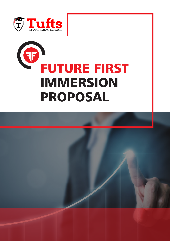

# FUTURE FIRST IMMERSION PROPOSAL

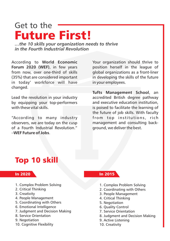### Get to the Future First!

*…the 10 skills your organization needs to thrive in the Fourth Industrial Revolution*

According to **World Economic Forum 2020 (WEF)**, in few years from now, over one-third of skills (35%) that are considered important in today' workforce will have changed.

Lead the revolution in your industry by equipping your top-performers with these vital skills.

"According to many industry observers, we are today on the cusp of a Fourth Industrial Revolution." –**WEF Future of Jobs**.

Your organization should thrive to position herself in the league of global organizations as a front-liner in developing the skills of the future in your employees.

**Tufts Management School**, an accredited British degree pathway and executive education institution, is poised to facilitate the learning of the future of job skills. With faculty from top institutions, rich management and consulting background, we deliver the best.

### Top 10 skill

- 1. Complex Problem Solving
- 2. Critical Thinking
- 3. Creativity
- 4. People Management
- 5. Coordinating with Others
- 6. Emotional Intelligence
- 7. Judgment and Decision Making
- 8. Service Orientation
- 9. Negotiation
- 10. Cognitive Flexibility

#### In 2020 In 2015

- 1. Complex Problem Solving
- 2. Coordinating with Others
- 3. People Management
- 4. Critical Thinking
- 5. Negotiation
- 6. Quality Control
- 7. Service Orientation
- 8. Judgment and Decision Making
- 9. Active Listening
- 10. Creativity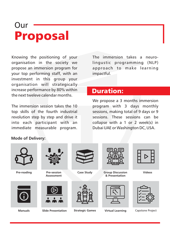## Our Proposal

Knowing the positioning of your organisation in the society we propose an immersion program for your top performing staff, with an investment in this group your organisation will strategically increase performance by 80% within the next tweleve calendar months.

The immersion session takes the 10 top skills of the fourth industrial revolution step by step and drive it into each participant with an immediate measurable program.

The immersion takes a neurolingustic programming (NLP) approach to make learning impactful.

#### Duration:

We propose a 3 months immersion program with 3 days monthly sessions, making total of 9 days or 9 sessions. These sessions can be collapse with a 1 or 2 week(s) in Dubai UAE or Washington DC, USA.

#### **Mode of Delivery:**

## **Pre-reading Pre-session Assessment Case Study Group Discussion Videos & Presentation**

**Manuals Slide Presentation Strategic Games Virtual Learning** Capstone Project

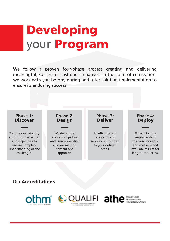## Developing your Program

We follow a proven four-phase process creating and delivering meaningful, successful customer initiatives. In the spirit of co-creation, we work with you before, during and after solution implementation to ensure its enduring success.



#### Our Accreditations





**IGHER EDUCATION**